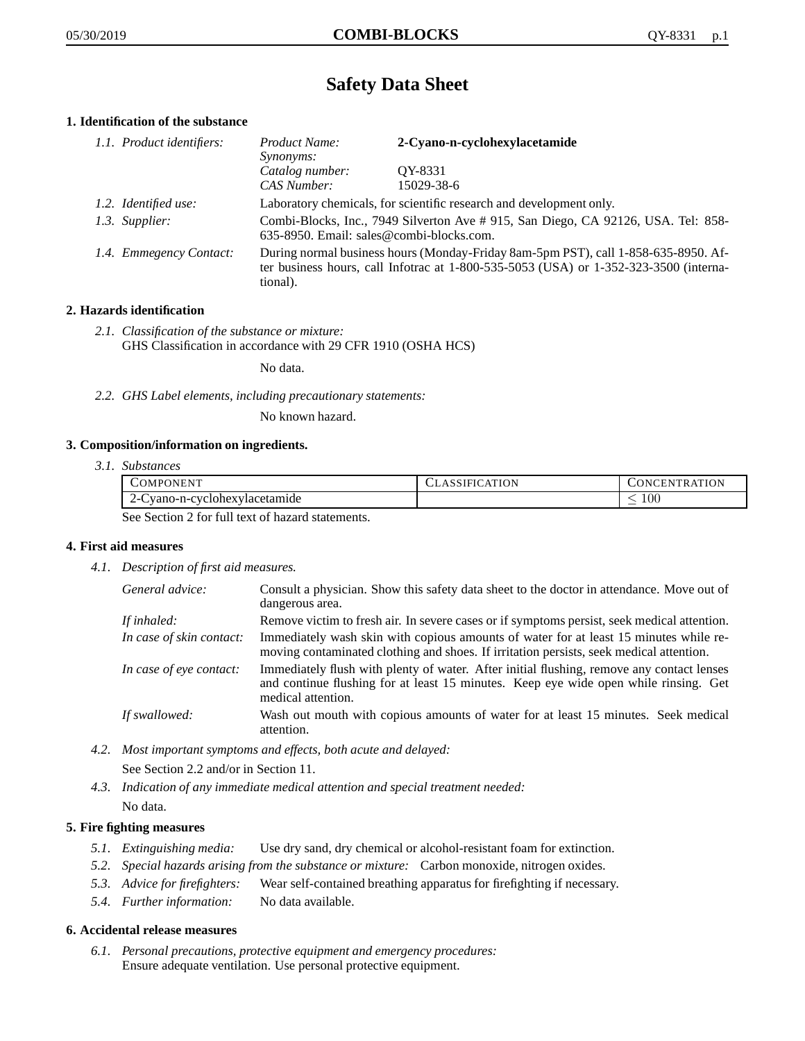# **Safety Data Sheet**

# **1. Identification of the substance**

| 1.1. Product identifiers: | Product Name:<br><i>Synonyms:</i>                                                                                                                                                           | 2-Cyano-n-cyclohexylacetamide |
|---------------------------|---------------------------------------------------------------------------------------------------------------------------------------------------------------------------------------------|-------------------------------|
|                           | Catalog number:<br>CAS Number:                                                                                                                                                              | OY-8331<br>15029-38-6         |
| 1.2. Identified use:      | Laboratory chemicals, for scientific research and development only.                                                                                                                         |                               |
| 1.3. Supplier:            | Combi-Blocks, Inc., 7949 Silverton Ave # 915, San Diego, CA 92126, USA. Tel: 858-<br>635-8950. Email: sales@combi-blocks.com.                                                               |                               |
| 1.4. Emmegency Contact:   | During normal business hours (Monday-Friday 8am-5pm PST), call 1-858-635-8950. Af-<br>ter business hours, call Infotrac at $1-800-535-5053$ (USA) or $1-352-323-3500$ (interna-<br>tional). |                               |

# **2. Hazards identification**

*2.1. Classification of the substance or mixture:* GHS Classification in accordance with 29 CFR 1910 (OSHA HCS)

No data.

*2.2. GHS Label elements, including precautionary statements:*

No known hazard.

## **3. Composition/information on ingredients.**

*3.1. Substances*

| COMPONENT                                                                                                                                      | <b>ASSIFICATION</b> | TR ATION<br>_ONCEN" |
|------------------------------------------------------------------------------------------------------------------------------------------------|---------------------|---------------------|
| vano-n-cyclonexylacetamide<br>$2 - 1$                                                                                                          |                     | $100\,$             |
| $\alpha$ . $\alpha$ . $\alpha$ . $\alpha$ $\alpha$ . $\alpha$ 11 $\alpha$ . $\alpha$ . $\alpha$ 1, $\alpha$ . $\alpha$ . $\alpha$ . $\alpha$ . |                     |                     |

See Section 2 for full text of hazard statements.

## **4. First aid measures**

*4.1. Description of first aid measures.*

| General advice:          | Consult a physician. Show this safety data sheet to the doctor in attendance. Move out of<br>dangerous area.                                                                                            |
|--------------------------|---------------------------------------------------------------------------------------------------------------------------------------------------------------------------------------------------------|
| If inhaled:              | Remove victim to fresh air. In severe cases or if symptoms persist, seek medical attention.                                                                                                             |
| In case of skin contact: | Immediately wash skin with copious amounts of water for at least 15 minutes while re-<br>moving contaminated clothing and shoes. If irritation persists, seek medical attention.                        |
| In case of eye contact:  | Immediately flush with plenty of water. After initial flushing, remove any contact lenses<br>and continue flushing for at least 15 minutes. Keep eye wide open while rinsing. Get<br>medical attention. |
| If swallowed:            | Wash out mouth with copious amounts of water for at least 15 minutes. Seek medical<br>attention.                                                                                                        |

*4.2. Most important symptoms and effects, both acute and delayed:*

See Section 2.2 and/or in Section 11.

*4.3. Indication of any immediate medical attention and special treatment needed:* No data.

# **5. Fire fighting measures**

- *5.1. Extinguishing media:* Use dry sand, dry chemical or alcohol-resistant foam for extinction.
- *5.2. Special hazards arising from the substance or mixture:* Carbon monoxide, nitrogen oxides.
- *5.3. Advice for firefighters:* Wear self-contained breathing apparatus for firefighting if necessary.
- *5.4. Further information:* No data available.

## **6. Accidental release measures**

*6.1. Personal precautions, protective equipment and emergency procedures:* Ensure adequate ventilation. Use personal protective equipment.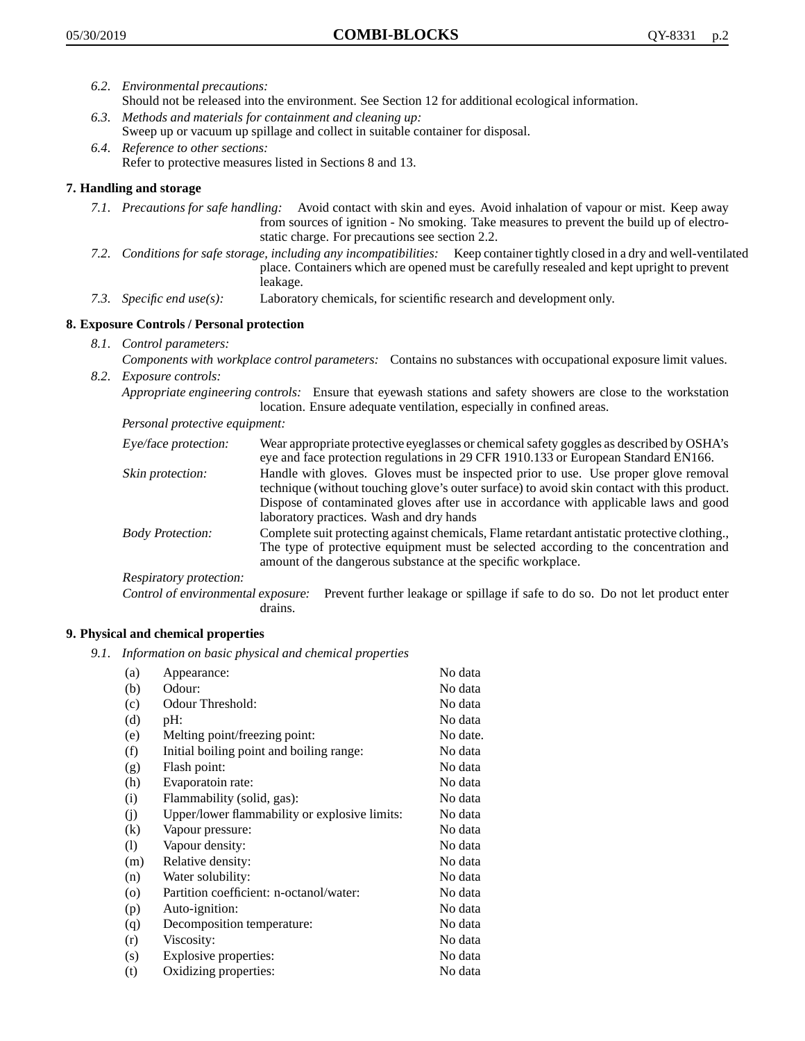- *6.2. Environmental precautions:* Should not be released into the environment. See Section 12 for additional ecological information.
- *6.3. Methods and materials for containment and cleaning up:* Sweep up or vacuum up spillage and collect in suitable container for disposal.
- *6.4. Reference to other sections:* Refer to protective measures listed in Sections 8 and 13.

## **7. Handling and storage**

- *7.1. Precautions for safe handling:* Avoid contact with skin and eyes. Avoid inhalation of vapour or mist. Keep away from sources of ignition - No smoking. Take measures to prevent the build up of electrostatic charge. For precautions see section 2.2.
- *7.2. Conditions for safe storage, including any incompatibilities:* Keep container tightly closed in a dry and well-ventilated place. Containers which are opened must be carefully resealed and kept upright to prevent leakage.
- *7.3. Specific end use(s):* Laboratory chemicals, for scientific research and development only.

## **8. Exposure Controls / Personal protection**

- *8.1. Control parameters:*
- *Components with workplace control parameters:* Contains no substances with occupational exposure limit values. *8.2. Exposure controls:*

*Appropriate engineering controls:* Ensure that eyewash stations and safety showers are close to the workstation location. Ensure adequate ventilation, especially in confined areas.

*Personal protective equipment:*

| Eye/face protection:    | Wear appropriate protective eyeglasses or chemical safety goggles as described by OSHA's<br>eye and face protection regulations in 29 CFR 1910.133 or European Standard EN166.                                                                                                                                         |
|-------------------------|------------------------------------------------------------------------------------------------------------------------------------------------------------------------------------------------------------------------------------------------------------------------------------------------------------------------|
| Skin protection:        | Handle with gloves. Gloves must be inspected prior to use. Use proper glove removal<br>technique (without touching glove's outer surface) to avoid skin contact with this product.<br>Dispose of contaminated gloves after use in accordance with applicable laws and good<br>laboratory practices. Wash and dry hands |
| <b>Body Protection:</b> | Complete suit protecting against chemicals, Flame retardant antistatic protective clothing.,<br>The type of protective equipment must be selected according to the concentration and<br>amount of the dangerous substance at the specific workplace.                                                                   |
| Respiratory protection: |                                                                                                                                                                                                                                                                                                                        |

Control of environmental exposure: Prevent further leakage or spillage if safe to do so. Do not let product enter drains.

## **9. Physical and chemical properties**

*9.1. Information on basic physical and chemical properties*

| (a)               | Appearance:                                   | No data  |
|-------------------|-----------------------------------------------|----------|
| (b)               | Odour:                                        | No data  |
| (c)               | Odour Threshold:                              | No data  |
| (d)               | pH:                                           | No data  |
| (e)               | Melting point/freezing point:                 | No date. |
| (f)               | Initial boiling point and boiling range:      | No data  |
| (g)               | Flash point:                                  | No data  |
| (h)               | Evaporatoin rate:                             | No data  |
| (i)               | Flammability (solid, gas):                    | No data  |
| (j)               | Upper/lower flammability or explosive limits: | No data  |
| $\left( k\right)$ | Vapour pressure:                              | No data  |
| (1)               | Vapour density:                               | No data  |
| (m)               | Relative density:                             | No data  |
| (n)               | Water solubility:                             | No data  |
| $\circ$           | Partition coefficient: n-octanol/water:       | No data  |
| (p)               | Auto-ignition:                                | No data  |
| (q)               | Decomposition temperature:                    | No data  |
| (r)               | Viscosity:                                    | No data  |
| (s)               | Explosive properties:                         | No data  |
| (t)               | Oxidizing properties:                         | No data  |